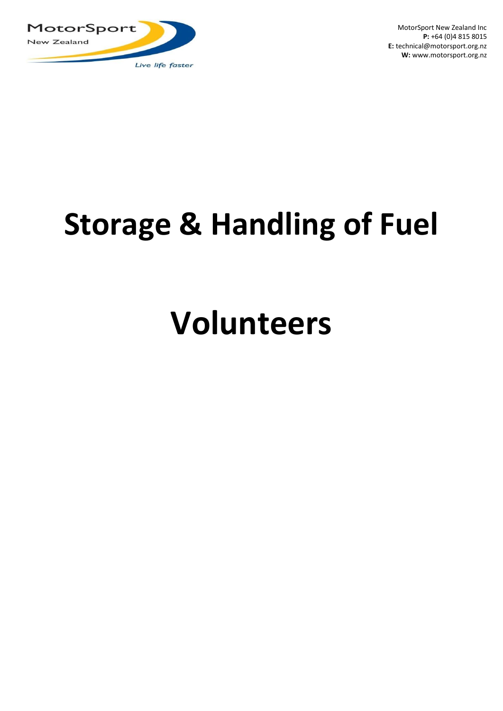

MotorSport New Zealand Inc **P:** +64 (0)4 815 8015 **E:** technical@motorsport.org.nz **W:** www.motorsport.org.nz

# **Storage & Handling of Fuel**

# **Volunteers**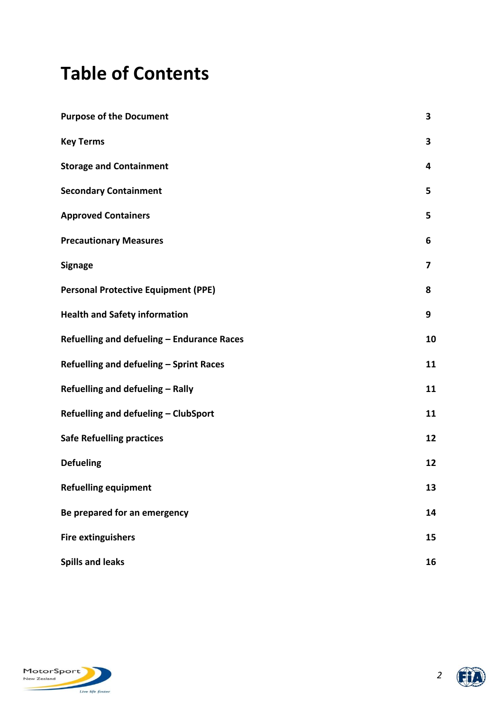# **Table of Contents**

| <b>Purpose of the Document</b>             | 3  |
|--------------------------------------------|----|
| <b>Key Terms</b>                           | 3  |
| <b>Storage and Containment</b>             | 4  |
| <b>Secondary Containment</b>               | 5  |
| <b>Approved Containers</b>                 | 5  |
| <b>Precautionary Measures</b>              | 6  |
| <b>Signage</b>                             | 7  |
| <b>Personal Protective Equipment (PPE)</b> | 8  |
| <b>Health and Safety information</b>       | 9  |
| Refuelling and defueling - Endurance Races | 10 |
| Refuelling and defueling - Sprint Races    | 11 |
| Refuelling and defueling - Rally           | 11 |
| Refuelling and defueling - ClubSport       | 11 |
| <b>Safe Refuelling practices</b>           | 12 |
| <b>Defueling</b>                           | 12 |
| <b>Refuelling equipment</b>                | 13 |
| Be prepared for an emergency               | 14 |
| <b>Fire extinguishers</b>                  | 15 |
| <b>Spills and leaks</b>                    | 16 |



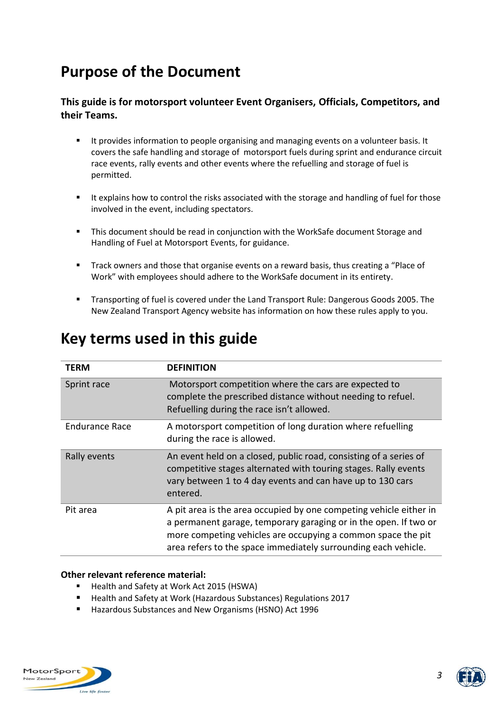# **Purpose of the Document**

### **This guide is for motorsport volunteer Event Organisers, Officials, Competitors, and their Teams.**

- It provides information to people organising and managing events on a volunteer basis. It covers the safe handling and storage of motorsport fuels during sprint and endurance circuit race events, rally events and other events where the refuelling and storage of fuel is permitted.
- It explains how to control the risks associated with the storage and handling of fuel for those involved in the event, including spectators.
- This document should be read in conjunction with the WorkSafe document Storage and Handling of Fuel at Motorsport Events, for guidance.
- **■** Track owners and those that organise events on a reward basis, thus creating a "Place of Work" with employees should adhere to the WorkSafe document in its entirety.
- Transporting of fuel is covered under the Land Transport Rule: Dangerous Goods 2005. The New Zealand Transport Agency website has information on how these rules apply to you.

| TERM           | <b>DEFINITION</b>                                                                                                                                                                                                                                                        |
|----------------|--------------------------------------------------------------------------------------------------------------------------------------------------------------------------------------------------------------------------------------------------------------------------|
| Sprint race    | Motorsport competition where the cars are expected to<br>complete the prescribed distance without needing to refuel.<br>Refuelling during the race isn't allowed.                                                                                                        |
| Endurance Race | A motorsport competition of long duration where refuelling<br>during the race is allowed.                                                                                                                                                                                |
| Rally events   | An event held on a closed, public road, consisting of a series of<br>competitive stages alternated with touring stages. Rally events<br>vary between 1 to 4 day events and can have up to 130 cars<br>entered.                                                           |
| Pit area       | A pit area is the area occupied by one competing vehicle either in<br>a permanent garage, temporary garaging or in the open. If two or<br>more competing vehicles are occupying a common space the pit<br>area refers to the space immediately surrounding each vehicle. |

## **Key terms used in this guide**

#### **Other relevant reference material:**

- Health and Safety at Work Act 2015 (HSWA)
- Health and Safety at Work (Hazardous Substances) Regulations 2017
- Hazardous Substances and New Organisms (HSNO) Act 1996



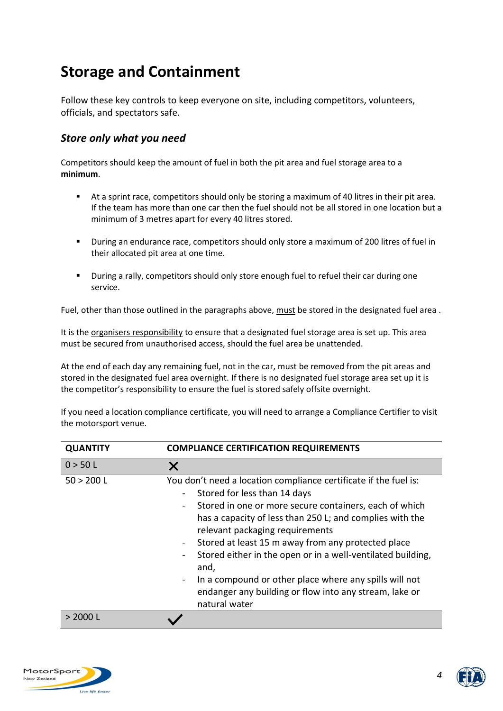## **Storage and Containment**

Follow these key controls to keep everyone on site, including competitors, volunteers, officials, and spectators safe.

### *Store only what you need*

Competitors should keep the amount of fuel in both the pit area and fuel storage area to a **minimum**.

- At a sprint race, competitors should only be storing a maximum of 40 litres in their pit area. If the team has more than one car then the fuel should not be all stored in one location but a minimum of 3 metres apart for every 40 litres stored.
- During an endurance race, competitors should only store a maximum of 200 litres of fuel in their allocated pit area at one time.
- During a rally, competitors should only store enough fuel to refuel their car during one service.

Fuel, other than those outlined in the paragraphs above, must be stored in the designated fuel area .

It is the organisers responsibility to ensure that a designated fuel storage area is set up. This area must be secured from unauthorised access, should the fuel area be unattended.

At the end of each day any remaining fuel, not in the car, must be removed from the pit areas and stored in the designated fuel area overnight. If there is no designated fuel storage area set up it is the competitor's responsibility to ensure the fuel is stored safely offsite overnight.

If you need a location compliance certificate, you will need to arrange a Compliance Certifier to visit the motorsport venue.

| <b>QUANTITY</b> | <b>COMPLIANCE CERTIFICATION REQUIREMENTS</b>                                                                                                                                                                                                                                                                                                                                                                                                                                                                                                                                                |  |  |
|-----------------|---------------------------------------------------------------------------------------------------------------------------------------------------------------------------------------------------------------------------------------------------------------------------------------------------------------------------------------------------------------------------------------------------------------------------------------------------------------------------------------------------------------------------------------------------------------------------------------------|--|--|
| 0 > 50 L        | X                                                                                                                                                                                                                                                                                                                                                                                                                                                                                                                                                                                           |  |  |
| 50 > 200 L      | You don't need a location compliance certificate if the fuel is:<br>Stored for less than 14 days<br>Stored in one or more secure containers, each of which<br>$\qquad \qquad \blacksquare$<br>has a capacity of less than 250 L; and complies with the<br>relevant packaging requirements<br>Stored at least 15 m away from any protected place<br>Stored either in the open or in a well-ventilated building,<br>and,<br>In a compound or other place where any spills will not<br>$\qquad \qquad \blacksquare$<br>endanger any building or flow into any stream, lake or<br>natural water |  |  |
| > 20001         |                                                                                                                                                                                                                                                                                                                                                                                                                                                                                                                                                                                             |  |  |



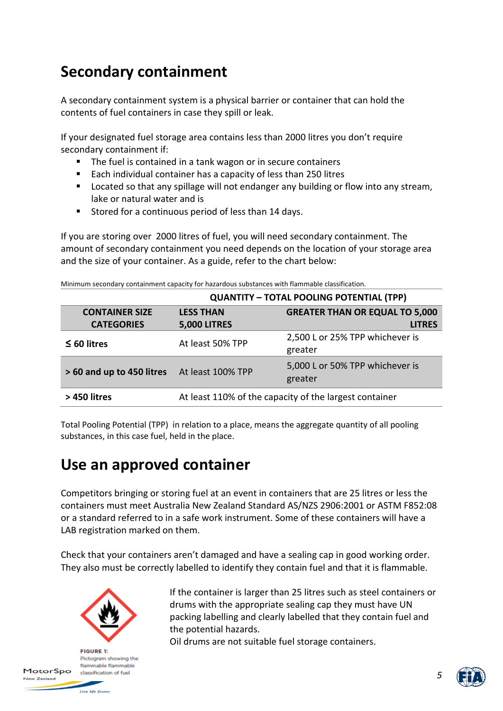# **Secondary containment**

A secondary containment system is a physical barrier or container that can hold the contents of fuel containers in case they spill or leak.

If your designated fuel storage area contains less than 2000 litres you don't require secondary containment if:

- The fuel is contained in a tank wagon or in secure containers
- Each individual container has a capacity of less than 250 litres
- Located so that any spillage will not endanger any building or flow into any stream, lake or natural water and is
- Stored for a continuous period of less than 14 days.

If you are storing over 2000 litres of fuel, you will need secondary containment. The amount of secondary containment you need depends on the location of your storage area and the size of your container. As a guide, refer to the chart below:

|  | Minimum secondary containment capacity for hazardous substances with flammable classification. |  |  |  |
|--|------------------------------------------------------------------------------------------------|--|--|--|
|  |                                                                                                |  |  |  |

|                           | <b>QUANTITY - TOTAL POOLING POTENTIAL (TPP)</b>        |                                            |  |  |  |
|---------------------------|--------------------------------------------------------|--------------------------------------------|--|--|--|
| <b>CONTAINER SIZE</b>     | <b>LESS THAN</b>                                       | <b>GREATER THAN OR EQUAL TO 5,000</b>      |  |  |  |
| <b>CATEGORIES</b>         | <b>5,000 LITRES</b>                                    | <b>LITRES</b>                              |  |  |  |
| $\leq 60$ litres          | At least 50% TPP                                       | 2,500 L or 25% TPP whichever is<br>greater |  |  |  |
| > 60 and up to 450 litres | At least 100% TPP                                      | 5,000 L or 50% TPP whichever is<br>greater |  |  |  |
| > 450 litres              | At least 110% of the capacity of the largest container |                                            |  |  |  |

Total Pooling Potential (TPP) in relation to a place, means the aggregate quantity of all pooling substances, in this case fuel, held in the place.

## **Use an approved container**

Competitors bringing or storing fuel at an event in containers that are 25 litres or less the containers must meet Australia New Zealand Standard AS/NZS 2906:2001 or ASTM F852:08 or a standard referred to in a safe work instrument. Some of these containers will have a LAB registration marked on them.

Check that your containers aren't damaged and have a sealing cap in good working order. They also must be correctly labelled to identify they contain fuel and that it is flammable.



**FIGURE 1:** Pictogram showing the flammable flammable classification of fuel

Live life faster

MotorSpo

New Zealand

If the container is larger than 25 litres such as steel containers or drums with the appropriate sealing cap they must have UN packing labelling and clearly labelled that they contain fuel and the potential hazards.

Oil drums are not suitable fuel storage containers.

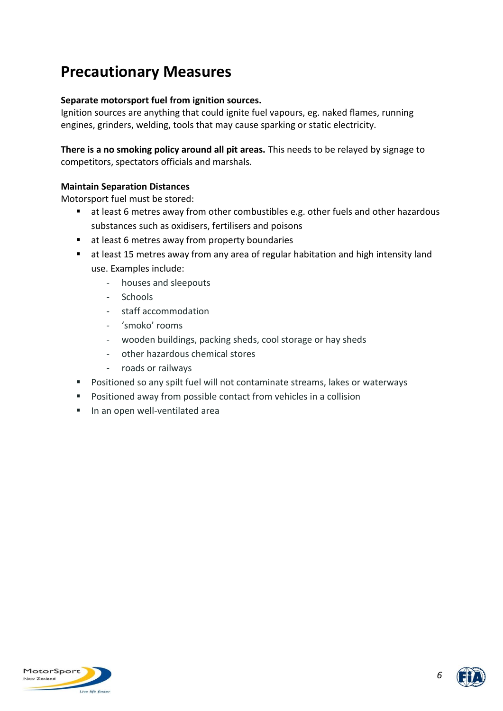## **Precautionary Measures**

#### **Separate motorsport fuel from ignition sources.**

Ignition sources are anything that could ignite fuel vapours, eg. naked flames, running engines, grinders, welding, tools that may cause sparking or static electricity.

**There is a no smoking policy around all pit areas.** This needs to be relayed by signage to competitors, spectators officials and marshals.

#### **Maintain Separation Distances**

Motorsport fuel must be stored:

- at least 6 metres away from other combustibles e.g. other fuels and other hazardous substances such as oxidisers, fertilisers and poisons
- at least 6 metres away from property boundaries
- at least 15 metres away from any area of regular habitation and high intensity land use. Examples include:
	- houses and sleepouts
	- Schools
	- staff accommodation
	- 'smoko' rooms
	- wooden buildings, packing sheds, cool storage or hay sheds
	- other hazardous chemical stores
	- roads or railways
- Positioned so any spilt fuel will not contaminate streams, lakes or waterways
- Positioned away from possible contact from vehicles in a collision
- In an open well-ventilated area



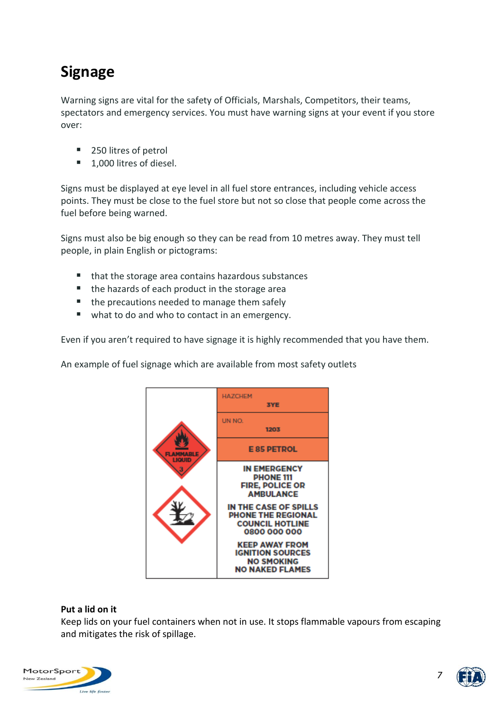# **Signage**

Warning signs are vital for the safety of Officials, Marshals, Competitors, their teams, spectators and emergency services. You must have warning signs at your event if you store over:

- 250 litres of petrol
- 1,000 litres of diesel.

Signs must be displayed at eye level in all fuel store entrances, including vehicle access points. They must be close to the fuel store but not so close that people come across the fuel before being warned.

Signs must also be big enough so they can be read from 10 metres away. They must tell people, in plain English or pictograms:

- that the storage area contains hazardous substances
- the hazards of each product in the storage area
- the precautions needed to manage them safely
- what to do and who to contact in an emergency.

Even if you aren't required to have signage it is highly recommended that you have them.

An example of fuel signage which are available from most safety outlets



#### **Put a lid on it**

Keep lids on your fuel containers when not in use. It stops flammable vapours from escaping and mitigates the risk of spillage.





*7*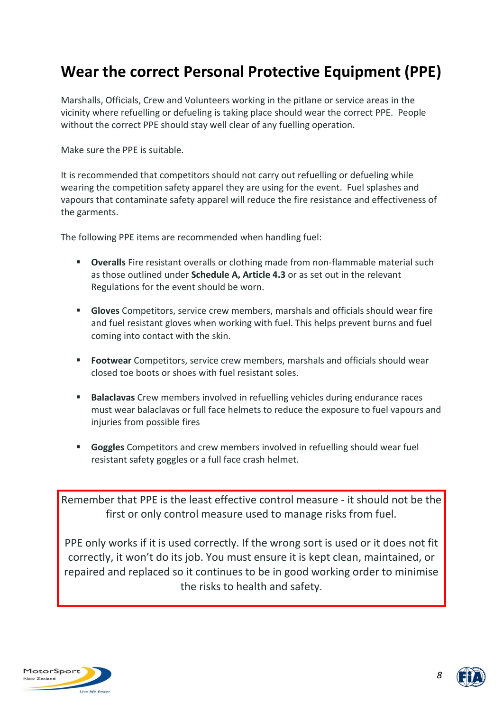## **Wear the correct Personal Protective Equipment (PPE)**

Marshalls, Officials, Crew and Volunteers working in the pitlane or service areas in the vicinity where refuelling or defueling is taking place should wear the correct PPE. People without the correct PPE should stay well clear of any fuelling operation.

Make sure the PPE is suitable.

It is recommended that competitors should not carry out refuelling or defueling while wearing the competition safety apparel they are using for the event. Fuel splashes and vapours that contaminate safety apparel will reduce the fire resistance and effectiveness of the garments.

The following PPE items are recommended when handling fuel:

- **Overalls** Fire resistant overalls or clothing made from non-flammable material such as those outlined under **Schedule A, Article 4.3** or as set out in the relevant Regulations for the event should be worn.
- **Gloves** Competitors, service crew members, marshals and officials should wear fire and fuel resistant gloves when working with fuel. This helps prevent burns and fuel coming into contact with the skin.
- Footwear Competitors, service crew members, marshals and officials should wear closed toe boots or shoes with fuel resistant soles.
- **Balaclavas** Crew members involved in refuelling vehicles during endurance races must wear balaclavas or full face helmets to reduce the exposure to fuel vapours and injuries from possible fires
- **Goggles** Competitors and crew members involved in refuelling should wear fuel resistant safety goggles or a full face crash helmet.

Remember that PPE is the least effective control measure - it should not be the first or only control measure used to manage risks from fuel.

PPE only works if it is used correctly. If the wrong sort is used or it does not fit correctly, it won't do its job. You must ensure it is kept clean, maintained, or repaired and replaced so it continues to be in good working order to minimise the risks to health and safety.



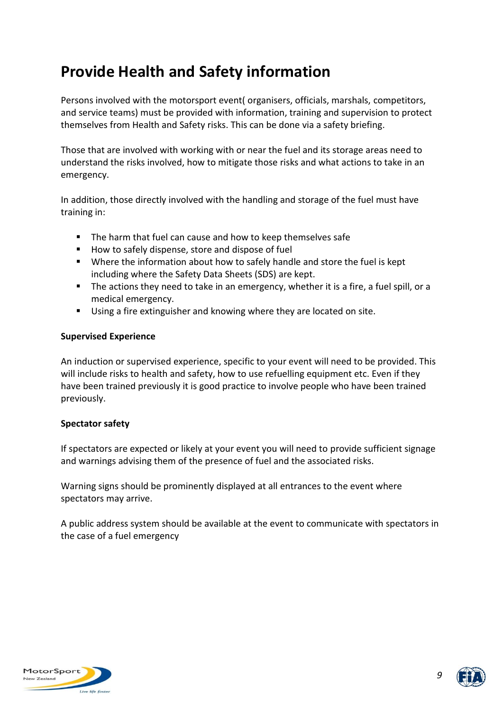# **Provide Health and Safety information**

Persons involved with the motorsport event( organisers, officials, marshals, competitors, and service teams) must be provided with information, training and supervision to protect themselves from Health and Safety risks. This can be done via a safety briefing.

Those that are involved with working with or near the fuel and its storage areas need to understand the risks involved, how to mitigate those risks and what actions to take in an emergency.

In addition, those directly involved with the handling and storage of the fuel must have training in:

- The harm that fuel can cause and how to keep themselves safe
- How to safely dispense, store and dispose of fuel
- Where the information about how to safely handle and store the fuel is kept including where the Safety Data Sheets (SDS) are kept.
- The actions they need to take in an emergency, whether it is a fire, a fuel spill, or a medical emergency.
- Using a fire extinguisher and knowing where they are located on site.

#### **Supervised Experience**

An induction or supervised experience, specific to your event will need to be provided. This will include risks to health and safety, how to use refuelling equipment etc. Even if they have been trained previously it is good practice to involve people who have been trained previously.

#### **Spectator safety**

If spectators are expected or likely at your event you will need to provide sufficient signage and warnings advising them of the presence of fuel and the associated risks.

Warning signs should be prominently displayed at all entrances to the event where spectators may arrive.

A public address system should be available at the event to communicate with spectators in the case of a fuel emergency



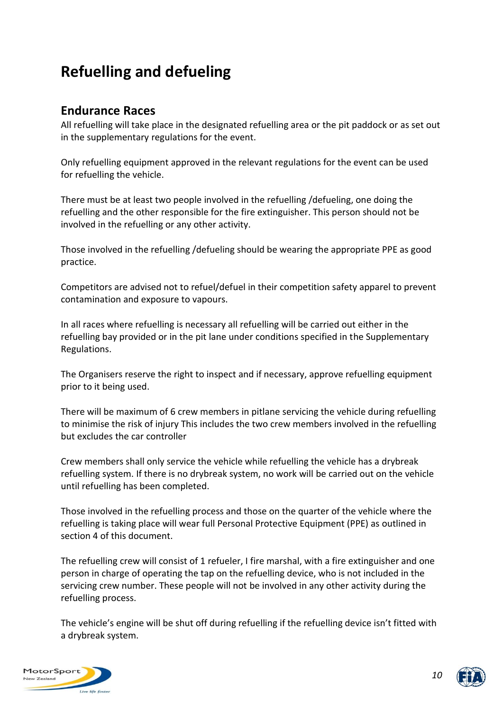# **Refuelling and defueling**

## **Endurance Races**

All refuelling will take place in the designated refuelling area or the pit paddock or as set out in the supplementary regulations for the event.

Only refuelling equipment approved in the relevant regulations for the event can be used for refuelling the vehicle.

There must be at least two people involved in the refuelling /defueling, one doing the refuelling and the other responsible for the fire extinguisher. This person should not be involved in the refuelling or any other activity.

Those involved in the refuelling /defueling should be wearing the appropriate PPE as good practice.

Competitors are advised not to refuel/defuel in their competition safety apparel to prevent contamination and exposure to vapours.

In all races where refuelling is necessary all refuelling will be carried out either in the refuelling bay provided or in the pit lane under conditions specified in the Supplementary Regulations.

The Organisers reserve the right to inspect and if necessary, approve refuelling equipment prior to it being used.

There will be maximum of 6 crew members in pitlane servicing the vehicle during refuelling to minimise the risk of injury This includes the two crew members involved in the refuelling but excludes the car controller

Crew members shall only service the vehicle while refuelling the vehicle has a drybreak refuelling system. If there is no drybreak system, no work will be carried out on the vehicle until refuelling has been completed.

Those involved in the refuelling process and those on the quarter of the vehicle where the refuelling is taking place will wear full Personal Protective Equipment (PPE) as outlined in section 4 of this document.

The refuelling crew will consist of 1 refueler, I fire marshal, with a fire extinguisher and one person in charge of operating the tap on the refuelling device, who is not included in the servicing crew number. These people will not be involved in any other activity during the refuelling process.

The vehicle's engine will be shut off during refuelling if the refuelling device isn't fitted with a drybreak system.



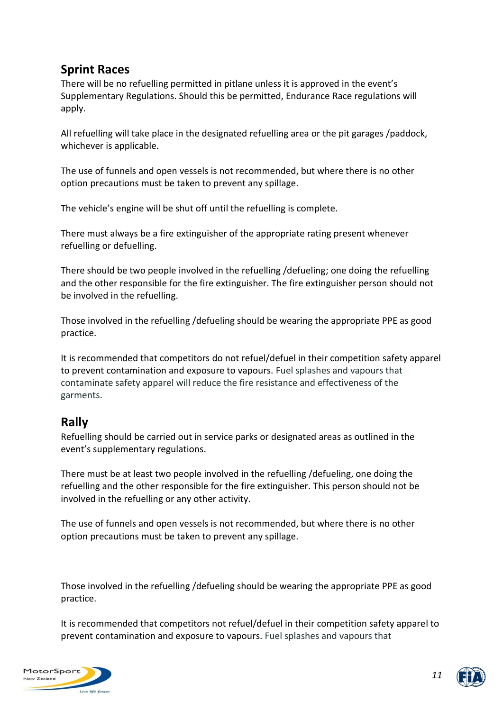## **Sprint Races**

There will be no refuelling permitted in pitlane unless it is approved in the event's Supplementary Regulations. Should this be permitted, Endurance Race regulations will apply.

All refuelling will take place in the designated refuelling area or the pit garages /paddock, whichever is applicable.

The use of funnels and open vessels is not recommended, but where there is no other option precautions must be taken to prevent any spillage.

The vehicle's engine will be shut off until the refuelling is complete.

There must always be a fire extinguisher of the appropriate rating present whenever refuelling or defuelling.

There should be two people involved in the refuelling /defueling; one doing the refuelling and the other responsible for the fire extinguisher. The fire extinguisher person should not be involved in the refuelling.

Those involved in the refuelling /defueling should be wearing the appropriate PPE as good practice.

It is recommended that competitors do not refuel/defuel in their competition safety apparel to prevent contamination and exposure to vapours. Fuel splashes and vapours that contaminate safety apparel will reduce the fire resistance and effectiveness of the garments.

## **Rally**

Refuelling should be carried out in service parks or designated areas as outlined in the event's supplementary regulations.

There must be at least two people involved in the refuelling /defueling, one doing the refuelling and the other responsible for the fire extinguisher. This person should not be involved in the refuelling or any other activity.

The use of funnels and open vessels is not recommended, but where there is no other option precautions must be taken to prevent any spillage.

Those involved in the refuelling /defueling should be wearing the appropriate PPE as good practice.

It is recommended that competitors not refuel/defuel in their competition safety apparel to prevent contamination and exposure to vapours. Fuel splashes and vapours that



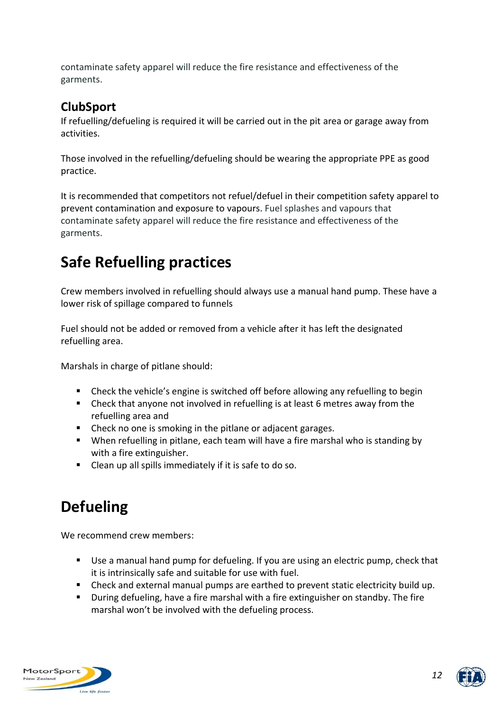contaminate safety apparel will reduce the fire resistance and effectiveness of the garments.

## **ClubSport**

If refuelling/defueling is required it will be carried out in the pit area or garage away from activities.

Those involved in the refuelling/defueling should be wearing the appropriate PPE as good practice.

It is recommended that competitors not refuel/defuel in their competition safety apparel to prevent contamination and exposure to vapours. Fuel splashes and vapours that contaminate safety apparel will reduce the fire resistance and effectiveness of the garments.

# **Safe Refuelling practices**

Crew members involved in refuelling should always use a manual hand pump. These have a lower risk of spillage compared to funnels

Fuel should not be added or removed from a vehicle after it has left the designated refuelling area.

Marshals in charge of pitlane should:

- Check the vehicle's engine is switched off before allowing any refuelling to begin
- Check that anyone not involved in refuelling is at least 6 metres away from the refuelling area and
- Check no one is smoking in the pitlane or adjacent garages.
- When refuelling in pitlane, each team will have a fire marshal who is standing by with a fire extinguisher.
- Clean up all spills immediately if it is safe to do so.

# **Defueling**

We recommend crew members:

- Use a manual hand pump for defueling. If you are using an electric pump, check that it is intrinsically safe and suitable for use with fuel.
- Check and external manual pumps are earthed to prevent static electricity build up.
- During defueling, have a fire marshal with a fire extinguisher on standby. The fire marshal won't be involved with the defueling process.



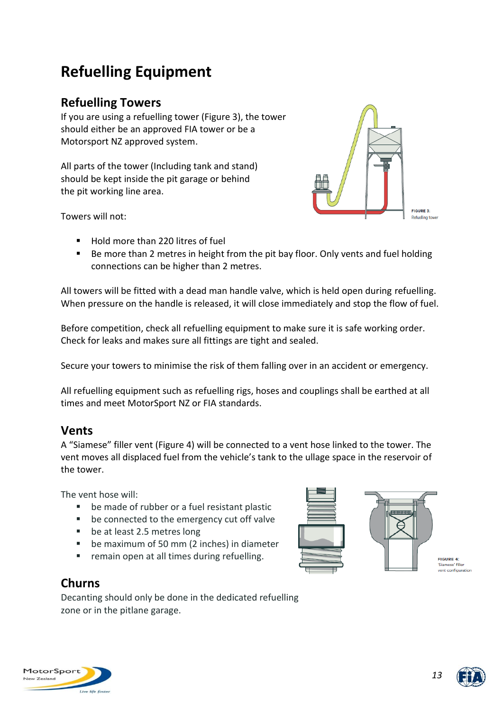# **Refuelling Equipment**

## **Refuelling Towers**

If you are using a refuelling tower (Figure 3), the tower should either be an approved FIA tower or be a Motorsport NZ approved system.

All parts of the tower (Including tank and stand) should be kept inside the pit garage or behind the pit working line area.



Towers will not:

- Hold more than 220 litres of fuel
- Be more than 2 metres in height from the pit bay floor. Only vents and fuel holding connections can be higher than 2 metres.

All towers will be fitted with a dead man handle valve, which is held open during refuelling. When pressure on the handle is released, it will close immediately and stop the flow of fuel.

Before competition, check all refuelling equipment to make sure it is safe working order. Check for leaks and makes sure all fittings are tight and sealed.

Secure your towers to minimise the risk of them falling over in an accident or emergency.

All refuelling equipment such as refuelling rigs, hoses and couplings shall be earthed at all times and meet MotorSport NZ or FIA standards.

## **Vents**

A "Siamese" filler vent (Figure 4) will be connected to a vent hose linked to the tower. The vent moves all displaced fuel from the vehicle's tank to the ullage space in the reservoir of the tower.

The vent hose will:

- be made of rubber or a fuel resistant plastic
- be connected to the emergency cut off valve
- be at least 2.5 metres long
- be maximum of 50 mm (2 inches) in diameter
- remain open at all times during refuelling.



**Churns**

Decanting should only be done in the dedicated refuelling zone or in the pitlane garage.





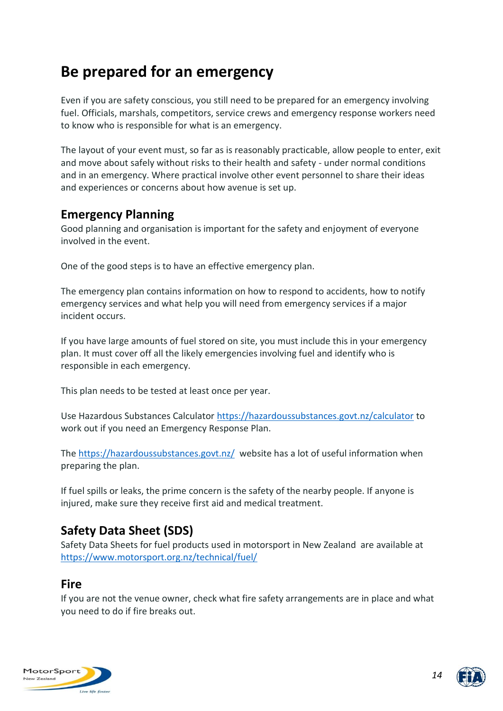## **Be prepared for an emergency**

Even if you are safety conscious, you still need to be prepared for an emergency involving fuel. Officials, marshals, competitors, service crews and emergency response workers need to know who is responsible for what is an emergency.

The layout of your event must, so far as is reasonably practicable, allow people to enter, exit and move about safely without risks to their health and safety - under normal conditions and in an emergency. Where practical involve other event personnel to share their ideas and experiences or concerns about how avenue is set up.

## **Emergency Planning**

Good planning and organisation is important for the safety and enjoyment of everyone involved in the event.

One of the good steps is to have an effective emergency plan.

The emergency plan contains information on how to respond to accidents, how to notify emergency services and what help you will need from emergency services if a major incident occurs.

If you have large amounts of fuel stored on site, you must include this in your emergency plan. It must cover off all the likely emergencies involving fuel and identify who is responsible in each emergency.

This plan needs to be tested at least once per year.

Use Hazardous Substances Calculator<https://hazardoussubstances.govt.nz/calculator> to work out if you need an Emergency Response Plan.

The<https://hazardoussubstances.govt.nz/> website has a lot of useful information when preparing the plan.

If fuel spills or leaks, the prime concern is the safety of the nearby people. If anyone is injured, make sure they receive first aid and medical treatment.

## **Safety Data Sheet (SDS)**

Safety Data Sheets for fuel products used in motorsport in New Zealand are available at <https://www.motorsport.org.nz/technical/fuel/>

## **Fire**

If you are not the venue owner, check what fire safety arrangements are in place and what you need to do if fire breaks out.



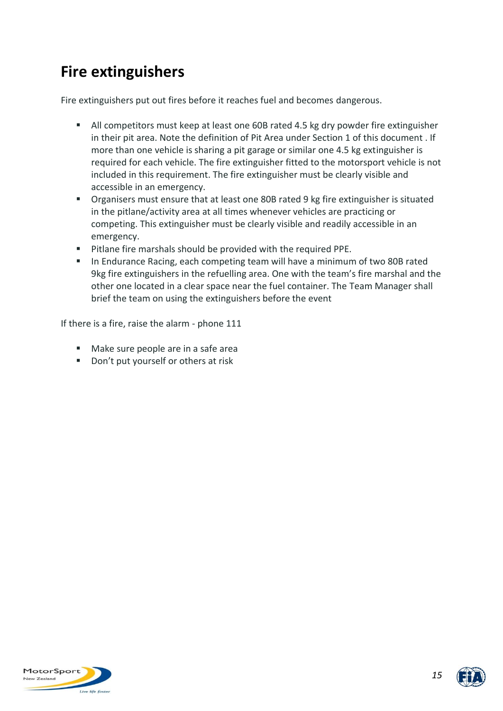# **Fire extinguishers**

Fire extinguishers put out fires before it reaches fuel and becomes dangerous.

- All competitors must keep at least one 60B rated 4.5 kg dry powder fire extinguisher in their pit area. Note the definition of Pit Area under Section 1 of this document . If more than one vehicle is sharing a pit garage or similar one 4.5 kg extinguisher is required for each vehicle. The fire extinguisher fitted to the motorsport vehicle is not included in this requirement. The fire extinguisher must be clearly visible and accessible in an emergency.
- Organisers must ensure that at least one 80B rated 9 kg fire extinguisher is situated in the pitlane/activity area at all times whenever vehicles are practicing or competing. This extinguisher must be clearly visible and readily accessible in an emergency.
- Pitlane fire marshals should be provided with the required PPE.
- In Endurance Racing, each competing team will have a minimum of two 80B rated 9kg fire extinguishers in the refuelling area. One with the team's fire marshal and the other one located in a clear space near the fuel container. The Team Manager shall brief the team on using the extinguishers before the event

If there is a fire, raise the alarm - phone 111

- Make sure people are in a safe area
- Don't put yourself or others at risk



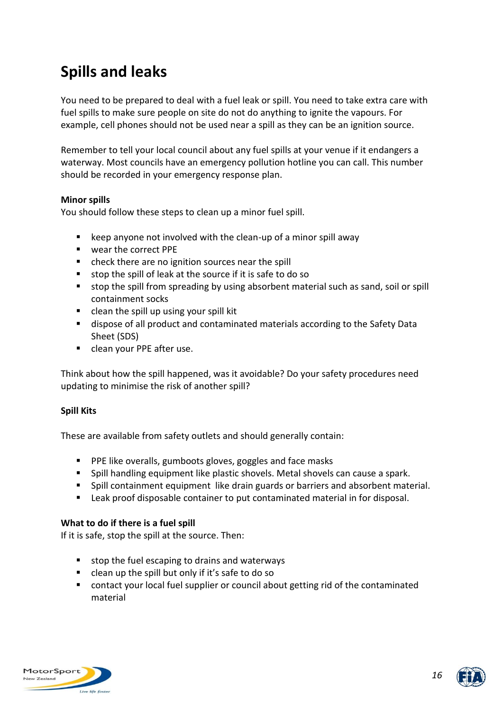# **Spills and leaks**

You need to be prepared to deal with a fuel leak or spill. You need to take extra care with fuel spills to make sure people on site do not do anything to ignite the vapours. For example, cell phones should not be used near a spill as they can be an ignition source.

Remember to tell your local council about any fuel spills at your venue if it endangers a waterway. Most councils have an emergency pollution hotline you can call. This number should be recorded in your emergency response plan.

#### **Minor spills**

You should follow these steps to clean up a minor fuel spill.

- $\blacksquare$  keep anyone not involved with the clean-up of a minor spill away
- wear the correct PPE
- check there are no ignition sources near the spill
- stop the spill of leak at the source if it is safe to do so
- stop the spill from spreading by using absorbent material such as sand, soil or spill containment socks
- clean the spill up using your spill kit
- dispose of all product and contaminated materials according to the Safety Data Sheet (SDS)
- clean your PPE after use.

Think about how the spill happened, was it avoidable? Do your safety procedures need updating to minimise the risk of another spill?

#### **Spill Kits**

These are available from safety outlets and should generally contain:

- PPE like overalls, gumboots gloves, goggles and face masks
- Spill handling equipment like plastic shovels. Metal shovels can cause a spark.
- Spill containment equipment like drain guards or barriers and absorbent material.
- Leak proof disposable container to put contaminated material in for disposal.

#### **What to do if there is a fuel spill**

If it is safe, stop the spill at the source. Then:

- stop the fuel escaping to drains and waterways
- clean up the spill but only if it's safe to do so
- contact your local fuel supplier or council about getting rid of the contaminated material